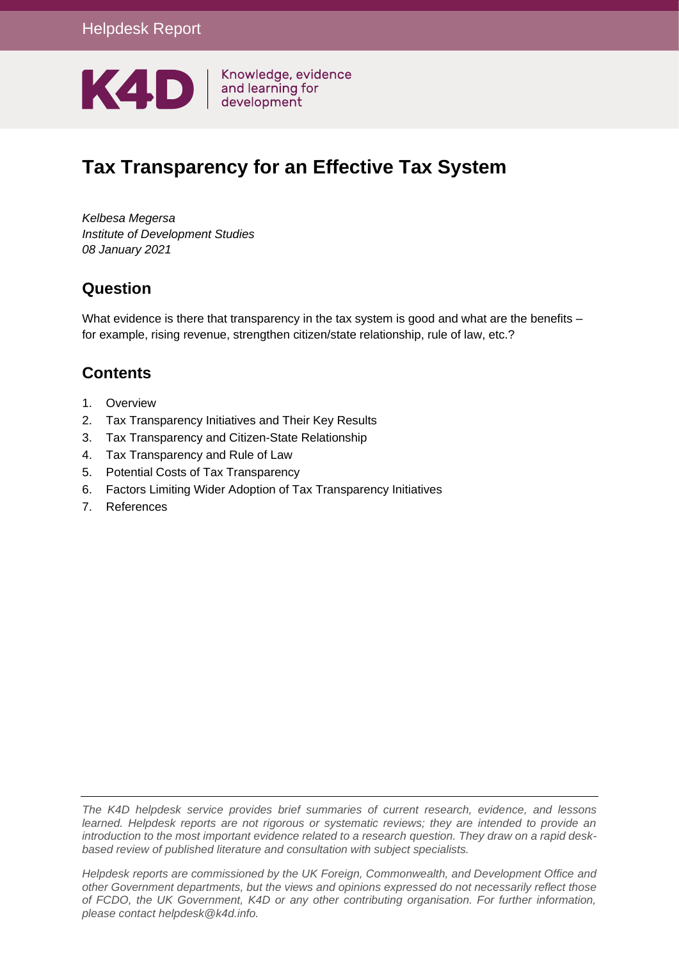

# **Tax Transparency for an Effective Tax System**

*Kelbesa Megersa Institute of Development Studies 08 January 2021*

### **Question**

What evidence is there that transparency in the tax system is good and what are the benefits – for example, rising revenue, strengthen citizen/state relationship, rule of law, etc.?

### **Contents**

- 1. [Overview](#page-1-0)
- 2. [Tax Transparency Initiatives and Their Key Results](#page-3-0)
- 3. [Tax Transparency and Citizen-State Relationship](#page-9-0)
- 4. [Tax Transparency and Rule of Law](#page-12-0)
- 5. [Potential Costs of Tax Transparency](#page-13-0)
- 6. [Factors Limiting Wider Adoption of Tax Transparency Initiatives](#page-14-0)
- 7. [References](#page-16-0)

*The K4D helpdesk service provides brief summaries of current research, evidence, and lessons learned. Helpdesk reports are not rigorous or systematic reviews; they are intended to provide an introduction to the most important evidence related to a research question. They draw on a rapid deskbased review of published literature and consultation with subject specialists.* 

*Helpdesk reports are commissioned by the UK Foreign, Commonwealth, and Development Office and other Government departments, but the views and opinions expressed do not necessarily reflect those of FCDO, the UK Government, K4D or any other contributing organisation. For further information, please contact helpdesk@k4d.info.*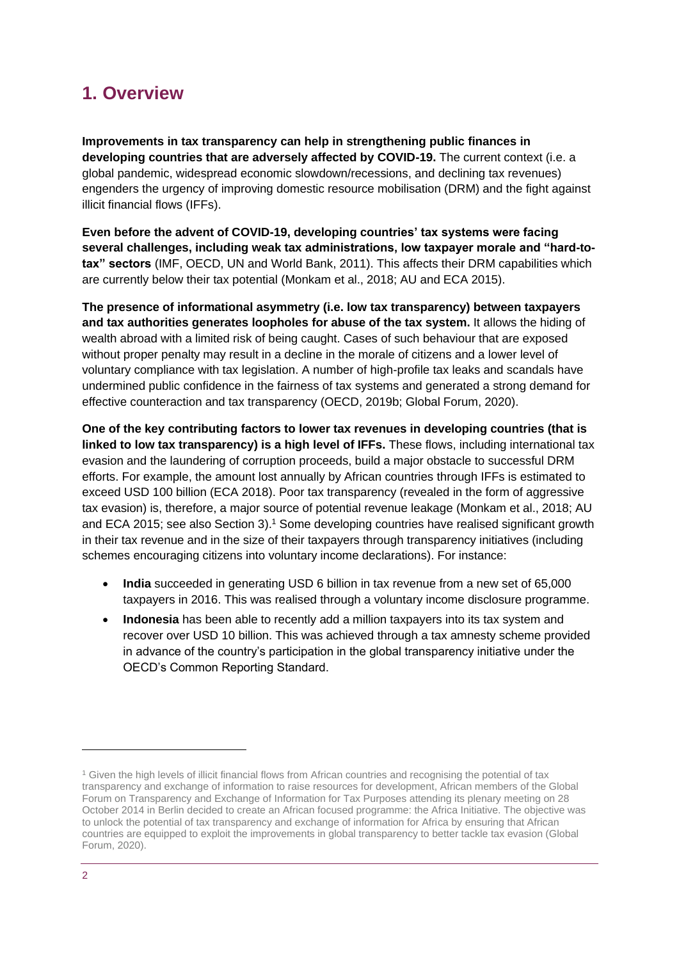## <span id="page-1-0"></span>**1. Overview**

**Improvements in tax transparency can help in strengthening public finances in developing countries that are adversely affected by COVID-19.** The current context (i.e. a global pandemic, widespread economic slowdown/recessions, and declining tax revenues) engenders the urgency of improving domestic resource mobilisation (DRM) and the fight against illicit financial flows (IFFs).

**Even before the advent of COVID-19, developing countries' tax systems were facing several challenges, including weak tax administrations, low taxpayer morale and "hard-totax" sectors** (IMF, OECD, UN and World Bank, 2011). This affects their DRM capabilities which are currently below their tax potential (Monkam et al., 2018; AU and ECA 2015).

**The presence of informational asymmetry (i.e. low tax transparency) between taxpayers and tax authorities generates loopholes for abuse of the tax system.** It allows the hiding of wealth abroad with a limited risk of being caught. Cases of such behaviour that are exposed without proper penalty may result in a decline in the morale of citizens and a lower level of voluntary compliance with tax legislation. A number of high-profile tax leaks and scandals have undermined public confidence in the fairness of tax systems and generated a strong demand for effective counteraction and tax transparency (OECD, 2019b; Global Forum, 2020).

**One of the key contributing factors to lower tax revenues in developing countries (that is linked to low tax transparency) is a high level of IFFs.** These flows, including international tax evasion and the laundering of corruption proceeds, build a major obstacle to successful DRM efforts. For example, the amount lost annually by African countries through IFFs is estimated to exceed USD 100 billion (ECA 2018). Poor tax transparency (revealed in the form of aggressive tax evasion) is, therefore, a major source of potential revenue leakage (Monkam et al., 2018; AU and ECA 2015; see also Section 3).<sup>1</sup> Some developing countries have realised significant growth in their tax revenue and in the size of their taxpayers through transparency initiatives (including schemes encouraging citizens into voluntary income declarations). For instance:

- **India** succeeded in generating USD 6 billion in tax revenue from a new set of 65,000 taxpayers in 2016. This was realised through a voluntary income disclosure programme.
- **Indonesia** has been able to recently add a million taxpayers into its tax system and recover over USD 10 billion. This was achieved through a tax amnesty scheme provided in advance of the country's participation in the global transparency initiative under the OECD's Common Reporting Standard.

<sup>1</sup> Given the high levels of illicit financial flows from African countries and recognising the potential of tax transparency and exchange of information to raise resources for development, African members of the Global Forum on Transparency and Exchange of Information for Tax Purposes attending its plenary meeting on 28 October 2014 in Berlin decided to create an African focused programme: the Africa Initiative. The objective was to unlock the potential of tax transparency and exchange of information for Africa by ensuring that African countries are equipped to exploit the improvements in global transparency to better tackle tax evasion (Global Forum, 2020).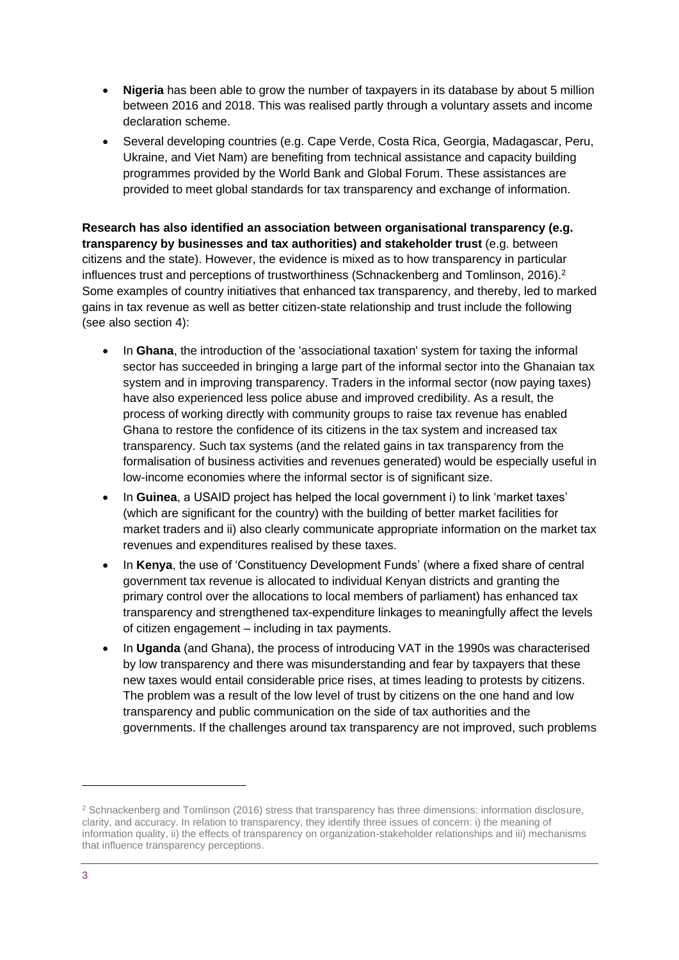- **Nigeria** has been able to grow the number of taxpayers in its database by about 5 million between 2016 and 2018. This was realised partly through a voluntary assets and income declaration scheme.
- Several developing countries (e.g. Cape Verde, Costa Rica, Georgia, Madagascar, Peru, Ukraine, and Viet Nam) are benefiting from technical assistance and capacity building programmes provided by the World Bank and Global Forum. These assistances are provided to meet global standards for tax transparency and exchange of information.

**Research has also identified an association between organisational transparency (e.g. transparency by businesses and tax authorities) and stakeholder trust** (e.g. between citizens and the state). However, the evidence is mixed as to how transparency in particular influences trust and perceptions of trustworthiness (Schnackenberg and Tomlinson, 2016).<sup>2</sup> Some examples of country initiatives that enhanced tax transparency, and thereby, led to marked gains in tax revenue as well as better citizen-state relationship and trust include the following (see also section 4):

- In **Ghana**, the introduction of the 'associational taxation' system for taxing the informal sector has succeeded in bringing a large part of the informal sector into the Ghanaian tax system and in improving transparency. Traders in the informal sector (now paying taxes) have also experienced less police abuse and improved credibility. As a result, the process of working directly with community groups to raise tax revenue has enabled Ghana to restore the confidence of its citizens in the tax system and increased tax transparency. Such tax systems (and the related gains in tax transparency from the formalisation of business activities and revenues generated) would be especially useful in low-income economies where the informal sector is of significant size.
- In **Guinea**, a USAID project has helped the local government i) to link 'market taxes' (which are significant for the country) with the building of better market facilities for market traders and ii) also clearly communicate appropriate information on the market tax revenues and expenditures realised by these taxes.
- In **Kenya**, the use of 'Constituency Development Funds' (where a fixed share of central government tax revenue is allocated to individual Kenyan districts and granting the primary control over the allocations to local members of parliament) has enhanced tax transparency and strengthened tax-expenditure linkages to meaningfully affect the levels of citizen engagement – including in tax payments.
- In **Uganda** (and Ghana), the process of introducing VAT in the 1990s was characterised by low transparency and there was misunderstanding and fear by taxpayers that these new taxes would entail considerable price rises, at times leading to protests by citizens. The problem was a result of the low level of trust by citizens on the one hand and low transparency and public communication on the side of tax authorities and the governments. If the challenges around tax transparency are not improved, such problems

<sup>&</sup>lt;sup>2</sup> Schnackenberg and Tomlinson (2016) stress that transparency has three dimensions: information disclosure, clarity, and accuracy. In relation to transparency, they identify three issues of concern: i) the meaning of information quality, ii) the effects of transparency on organization-stakeholder relationships and iii) mechanisms that influence transparency perceptions.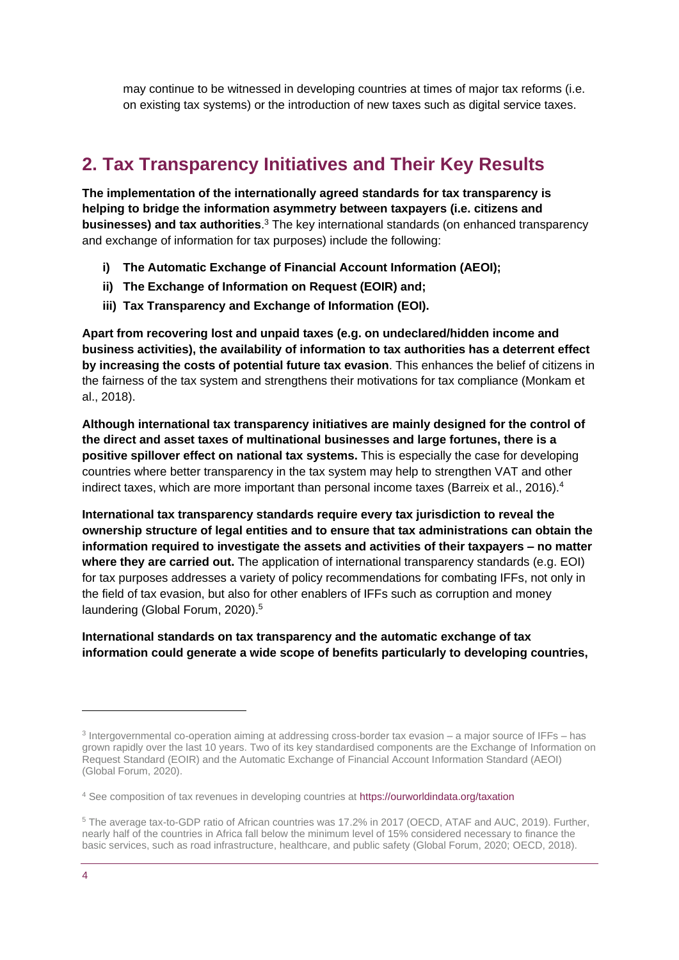may continue to be witnessed in developing countries at times of major tax reforms (i.e. on existing tax systems) or the introduction of new taxes such as digital service taxes.

# <span id="page-3-0"></span>**2. Tax Transparency Initiatives and Their Key Results**

**The implementation of the internationally agreed standards for tax transparency is helping to bridge the information asymmetry between taxpayers (i.e. citizens and businesses) and tax authorities**. <sup>3</sup> The key international standards (on enhanced transparency and exchange of information for tax purposes) include the following:

- **i) The Automatic Exchange of Financial Account Information (AEOI);**
- **ii) The Exchange of Information on Request (EOIR) and;**
- **iii) Tax Transparency and Exchange of Information (EOI).**

**Apart from recovering lost and unpaid taxes (e.g. on undeclared/hidden income and business activities), the availability of information to tax authorities has a deterrent effect by increasing the costs of potential future tax evasion**. This enhances the belief of citizens in the fairness of the tax system and strengthens their motivations for tax compliance (Monkam et al., 2018).

**Although international tax transparency initiatives are mainly designed for the control of the direct and asset taxes of multinational businesses and large fortunes, there is a positive spillover effect on national tax systems.** This is especially the case for developing countries where better transparency in the tax system may help to strengthen VAT and other indirect taxes, which are more important than personal income taxes (Barreix et al., 2016).<sup>4</sup>

**International tax transparency standards require every tax jurisdiction to reveal the ownership structure of legal entities and to ensure that tax administrations can obtain the information required to investigate the assets and activities of their taxpayers – no matter where they are carried out.** The application of international transparency standards (e.g. EOI) for tax purposes addresses a variety of policy recommendations for combating IFFs, not only in the field of tax evasion, but also for other enablers of IFFs such as corruption and money laundering (Global Forum, 2020).<sup>5</sup>

**International standards on tax transparency and the automatic exchange of tax information could generate a wide scope of benefits particularly to developing countries,** 

<sup>3</sup> Intergovernmental co-operation aiming at addressing cross-border tax evasion – a major source of IFFs – has grown rapidly over the last 10 years. Two of its key standardised components are the Exchange of Information on Request Standard (EOIR) and the Automatic Exchange of Financial Account Information Standard (AEOI) (Global Forum, 2020).

<sup>4</sup> See composition of tax revenues in developing countries at<https://ourworldindata.org/taxation>

<sup>5</sup> The average tax-to-GDP ratio of African countries was 17.2% in 2017 (OECD, ATAF and AUC, 2019). Further, nearly half of the countries in Africa fall below the minimum level of 15% considered necessary to finance the basic services, such as road infrastructure, healthcare, and public safety (Global Forum, 2020; OECD, 2018).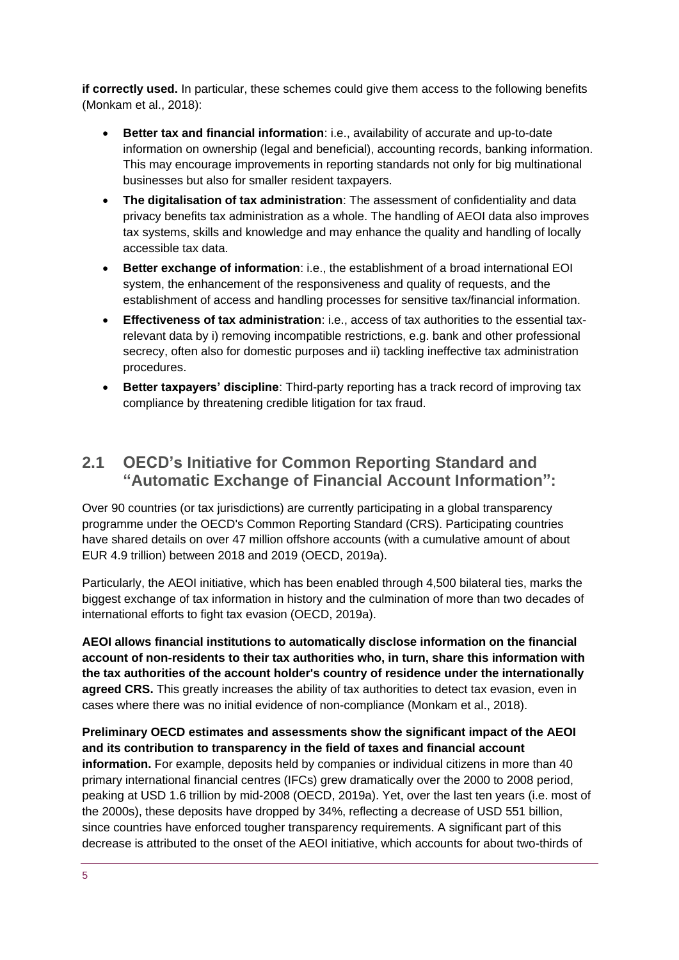**if correctly used.** In particular, these schemes could give them access to the following benefits (Monkam et al., 2018):

- **Better tax and financial information**: i.e., availability of accurate and up-to-date information on ownership (legal and beneficial), accounting records, banking information. This may encourage improvements in reporting standards not only for big multinational businesses but also for smaller resident taxpayers.
- **The digitalisation of tax administration**: The assessment of confidentiality and data privacy benefits tax administration as a whole. The handling of AEOI data also improves tax systems, skills and knowledge and may enhance the quality and handling of locally accessible tax data.
- **Better exchange of information**: i.e., the establishment of a broad international EOI system, the enhancement of the responsiveness and quality of requests, and the establishment of access and handling processes for sensitive tax/financial information.
- **Effectiveness of tax administration**: i.e., access of tax authorities to the essential taxrelevant data by i) removing incompatible restrictions, e.g. bank and other professional secrecy, often also for domestic purposes and ii) tackling ineffective tax administration procedures.
- **Better taxpayers' discipline**: Third-party reporting has a track record of improving tax compliance by threatening credible litigation for tax fraud.

### **2.1 OECD's Initiative for Common Reporting Standard and "Automatic Exchange of Financial Account Information":**

Over 90 countries (or tax jurisdictions) are currently participating in a global transparency programme under the OECD's Common Reporting Standard (CRS). Participating countries have shared details on over 47 million offshore accounts (with a cumulative amount of about EUR 4.9 trillion) between 2018 and 2019 (OECD, 2019a).

Particularly, the AEOI initiative, which has been enabled through 4,500 bilateral ties, marks the biggest exchange of tax information in history and the culmination of more than two decades of international efforts to fight tax evasion (OECD, 2019a).

**AEOI allows financial institutions to automatically disclose information on the financial account of non-residents to their tax authorities who, in turn, share this information with the tax authorities of the account holder's country of residence under the internationally**  agreed CRS. This greatly increases the ability of tax authorities to detect tax evasion, even in cases where there was no initial evidence of non-compliance (Monkam et al., 2018).

#### **Preliminary OECD estimates and assessments show the significant impact of the AEOI and its contribution to transparency in the field of taxes and financial account information.** For example, deposits held by companies or individual citizens in more than 40

primary international financial centres (IFCs) grew dramatically over the 2000 to 2008 period, peaking at USD 1.6 trillion by mid-2008 (OECD, 2019a). Yet, over the last ten years (i.e. most of the 2000s), these deposits have dropped by 34%, reflecting a decrease of USD 551 billion, since countries have enforced tougher transparency requirements. A significant part of this decrease is attributed to the onset of the AEOI initiative, which accounts for about two-thirds of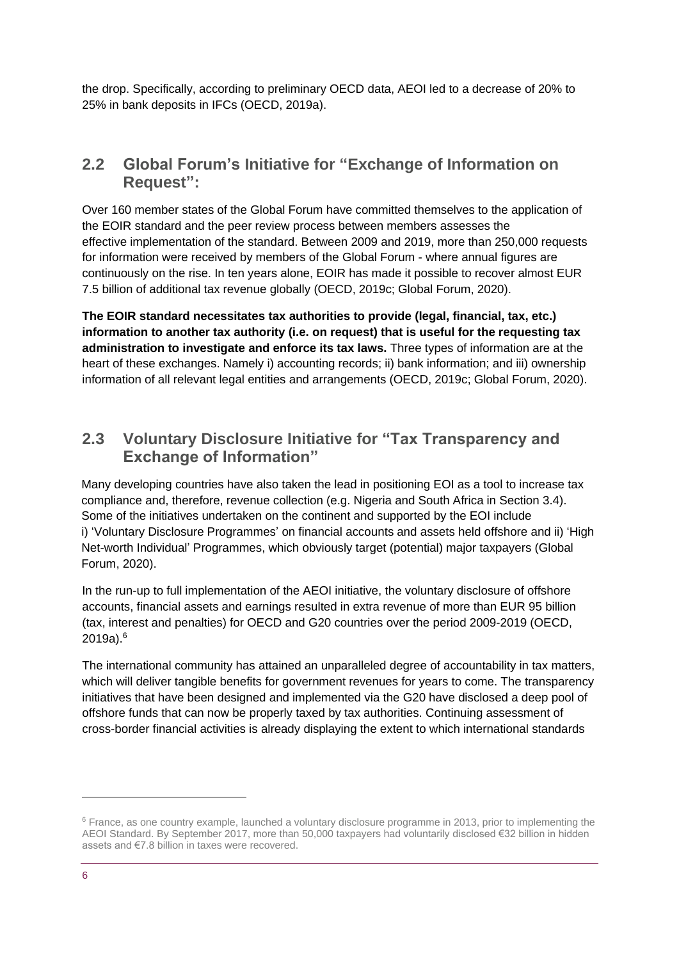the drop. Specifically, according to preliminary OECD data, AEOI led to a decrease of 20% to 25% in bank deposits in IFCs (OECD, 2019a).

### **2.2 Global Forum's Initiative for "Exchange of Information on Request":**

Over 160 member states of the Global Forum have committed themselves to the application of the EOIR standard and the peer review process between members assesses the effective implementation of the standard. Between 2009 and 2019, more than 250,000 requests for information were received by members of the Global Forum - where annual figures are continuously on the rise. In ten years alone, EOIR has made it possible to recover almost EUR 7.5 billion of additional tax revenue globally (OECD, 2019c; Global Forum, 2020).

**The EOIR standard necessitates tax authorities to provide (legal, financial, tax, etc.) information to another tax authority (i.e. on request) that is useful for the requesting tax administration to investigate and enforce its tax laws.** Three types of information are at the heart of these exchanges. Namely i) accounting records; ii) bank information; and iii) ownership information of all relevant legal entities and arrangements (OECD, 2019c; Global Forum, 2020).

### **2.3 Voluntary Disclosure Initiative for "Tax Transparency and Exchange of Information"**

Many developing countries have also taken the lead in positioning EOI as a tool to increase tax compliance and, therefore, revenue collection (e.g. Nigeria and South Africa in Section 3.4). Some of the initiatives undertaken on the continent and supported by the EOI include i) 'Voluntary Disclosure Programmes' on financial accounts and assets held offshore and ii) 'High Net-worth Individual' Programmes, which obviously target (potential) major taxpayers (Global Forum, 2020).

In the run-up to full implementation of the AEOI initiative, the voluntary disclosure of offshore accounts, financial assets and earnings resulted in extra revenue of more than EUR 95 billion (tax, interest and penalties) for OECD and G20 countries over the period 2009-2019 (OECD, 2019a).<sup>6</sup>

The international community has attained an unparalleled degree of accountability in tax matters, which will deliver tangible benefits for government revenues for years to come. The transparency initiatives that have been designed and implemented via the G20 have disclosed a deep pool of offshore funds that can now be properly taxed by tax authorities. Continuing assessment of cross-border financial activities is already displaying the extent to which international standards

<sup>6</sup> France, as one country example, launched a voluntary disclosure programme in 2013, prior to implementing the AEOI Standard. By September 2017, more than 50,000 taxpayers had voluntarily disclosed €32 billion in hidden assets and €7.8 billion in taxes were recovered.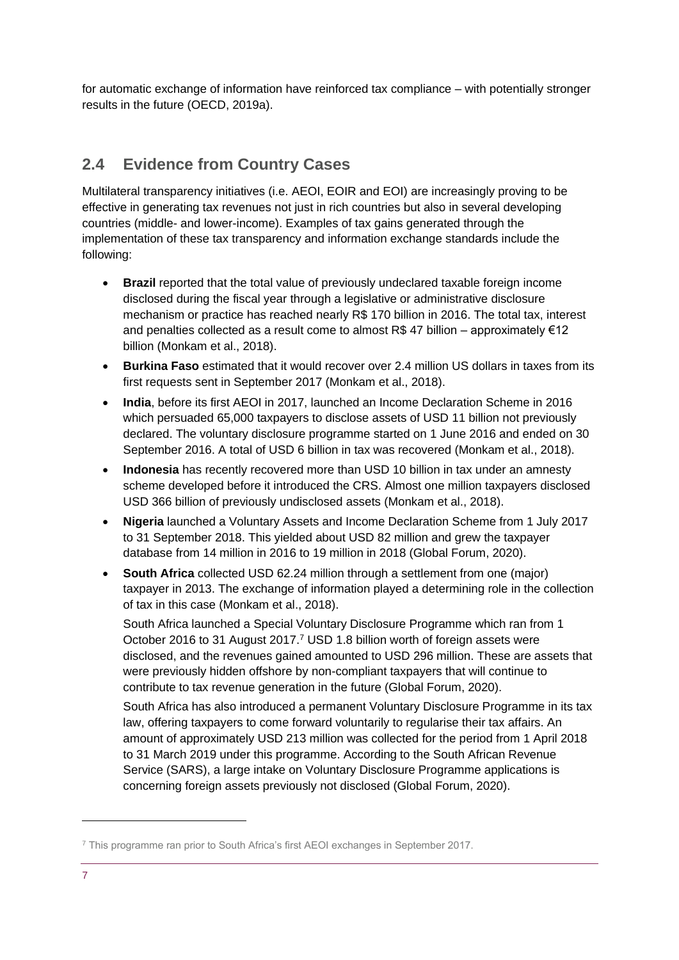for automatic exchange of information have reinforced tax compliance – with potentially stronger results in the future (OECD, 2019a).

## **2.4 Evidence from Country Cases**

Multilateral transparency initiatives (i.e. AEOI, EOIR and EOI) are increasingly proving to be effective in generating tax revenues not just in rich countries but also in several developing countries (middle- and lower-income). Examples of tax gains generated through the implementation of these tax transparency and information exchange standards include the following:

- **Brazil** reported that the total value of previously undeclared taxable foreign income disclosed during the fiscal year through a legislative or administrative disclosure mechanism or practice has reached nearly R\$ 170 billion in 2016. The total tax, interest and penalties collected as a result come to almost R\$ 47 billion – approximately  $€12$ billion (Monkam et al., 2018).
- **Burkina Faso** estimated that it would recover over 2.4 million US dollars in taxes from its first requests sent in September 2017 (Monkam et al., 2018).
- **India**, before its first AEOI in 2017, launched an Income Declaration Scheme in 2016 which persuaded 65,000 taxpayers to disclose assets of USD 11 billion not previously declared. The voluntary disclosure programme started on 1 June 2016 and ended on 30 September 2016. A total of USD 6 billion in tax was recovered (Monkam et al., 2018).
- **Indonesia** has recently recovered more than USD 10 billion in tax under an amnesty scheme developed before it introduced the CRS. Almost one million taxpayers disclosed USD 366 billion of previously undisclosed assets (Monkam et al., 2018).
- **Nigeria** launched a Voluntary Assets and Income Declaration Scheme from 1 July 2017 to 31 September 2018. This yielded about USD 82 million and grew the taxpayer database from 14 million in 2016 to 19 million in 2018 (Global Forum, 2020).
- **South Africa** collected USD 62.24 million through a settlement from one (major) taxpayer in 2013. The exchange of information played a determining role in the collection of tax in this case (Monkam et al., 2018).

South Africa launched a Special Voluntary Disclosure Programme which ran from 1 October 2016 to 31 August 2017.<sup>7</sup> USD 1.8 billion worth of foreign assets were disclosed, and the revenues gained amounted to USD 296 million. These are assets that were previously hidden offshore by non-compliant taxpayers that will continue to contribute to tax revenue generation in the future (Global Forum, 2020).

South Africa has also introduced a permanent Voluntary Disclosure Programme in its tax law, offering taxpayers to come forward voluntarily to regularise their tax affairs. An amount of approximately USD 213 million was collected for the period from 1 April 2018 to 31 March 2019 under this programme. According to the South African Revenue Service (SARS), a large intake on Voluntary Disclosure Programme applications is concerning foreign assets previously not disclosed (Global Forum, 2020).

<sup>7</sup> This programme ran prior to South Africa's first AEOI exchanges in September 2017.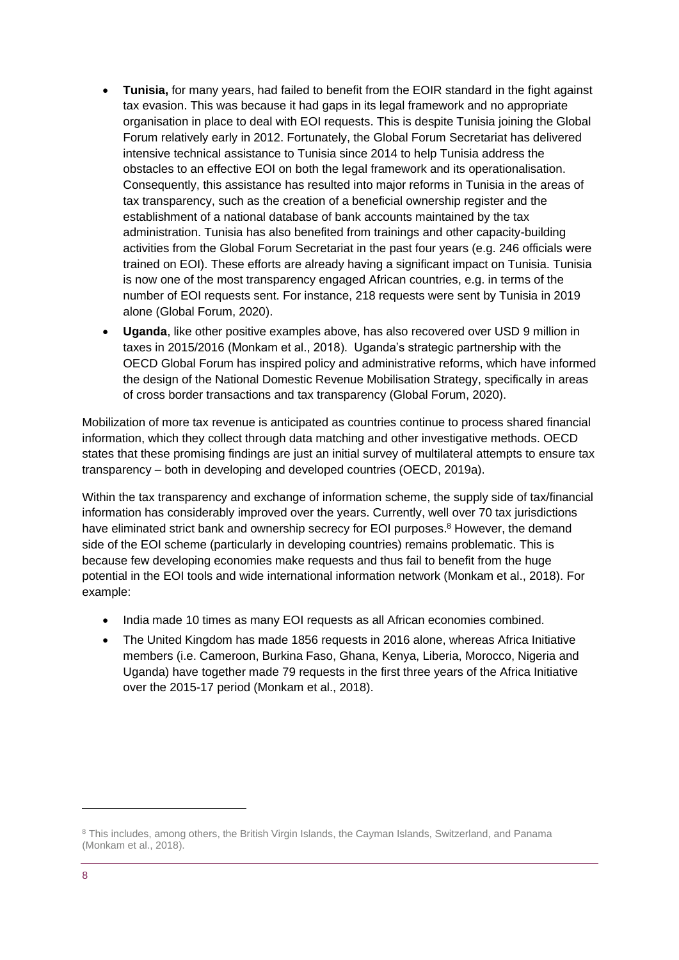- **Tunisia,** for many years, had failed to benefit from the EOIR standard in the fight against tax evasion. This was because it had gaps in its legal framework and no appropriate organisation in place to deal with EOI requests. This is despite Tunisia joining the Global Forum relatively early in 2012. Fortunately, the Global Forum Secretariat has delivered intensive technical assistance to Tunisia since 2014 to help Tunisia address the obstacles to an effective EOI on both the legal framework and its operationalisation. Consequently, this assistance has resulted into major reforms in Tunisia in the areas of tax transparency, such as the creation of a beneficial ownership register and the establishment of a national database of bank accounts maintained by the tax administration. Tunisia has also benefited from trainings and other capacity-building activities from the Global Forum Secretariat in the past four years (e.g. 246 officials were trained on EOI). These efforts are already having a significant impact on Tunisia. Tunisia is now one of the most transparency engaged African countries, e.g. in terms of the number of EOI requests sent. For instance, 218 requests were sent by Tunisia in 2019 alone (Global Forum, 2020).
- **Uganda**, like other positive examples above, has also recovered over USD 9 million in taxes in 2015/2016 (Monkam et al., 2018). Uganda's strategic partnership with the OECD Global Forum has inspired policy and administrative reforms, which have informed the design of the National Domestic Revenue Mobilisation Strategy, specifically in areas of cross border transactions and tax transparency (Global Forum, 2020).

Mobilization of more tax revenue is anticipated as countries continue to process shared financial information, which they collect through data matching and other investigative methods. OECD states that these promising findings are just an initial survey of multilateral attempts to ensure tax transparency – both in developing and developed countries (OECD, 2019a).

Within the tax transparency and exchange of information scheme, the supply side of tax/financial information has considerably improved over the years. Currently, well over 70 tax jurisdictions have eliminated strict bank and ownership secrecy for EOI purposes.<sup>8</sup> However, the demand side of the EOI scheme (particularly in developing countries) remains problematic. This is because few developing economies make requests and thus fail to benefit from the huge potential in the EOI tools and wide international information network (Monkam et al., 2018). For example:

- India made 10 times as many EOI requests as all African economies combined.
- The United Kingdom has made 1856 requests in 2016 alone, whereas Africa Initiative members (i.e. Cameroon, Burkina Faso, Ghana, Kenya, Liberia, Morocco, Nigeria and Uganda) have together made 79 requests in the first three years of the Africa Initiative over the 2015-17 period (Monkam et al., 2018).

<sup>8</sup> This includes, among others, the British Virgin Islands, the Cayman Islands, Switzerland, and Panama (Monkam et al., 2018).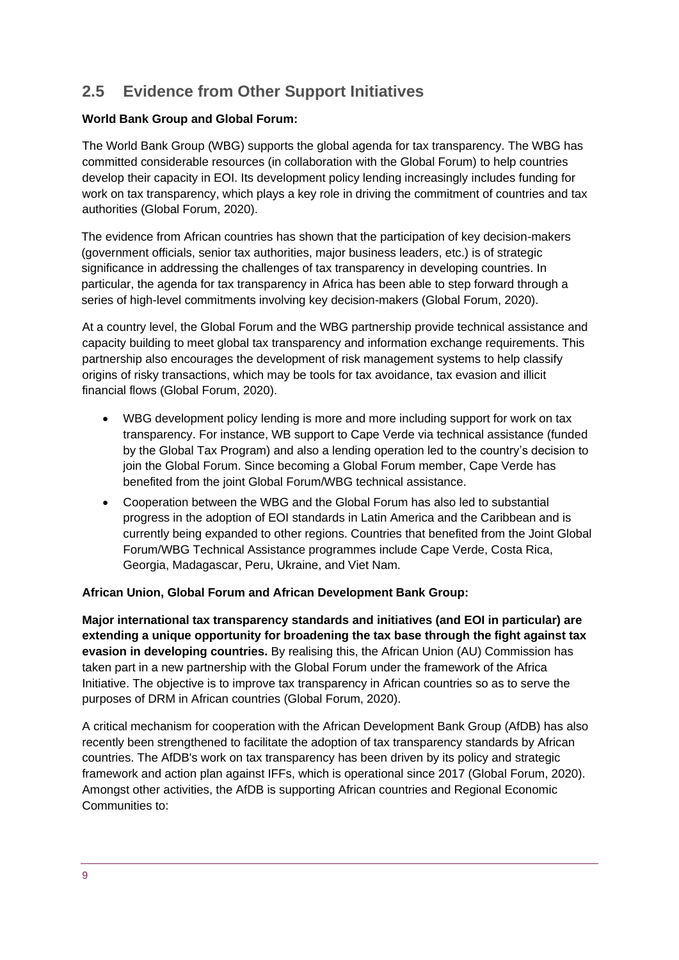## **2.5 Evidence from Other Support Initiatives**

#### **World Bank Group and Global Forum:**

The World Bank Group (WBG) supports the global agenda for tax transparency. The WBG has committed considerable resources (in collaboration with the Global Forum) to help countries develop their capacity in EOI. Its development policy lending increasingly includes funding for work on tax transparency, which plays a key role in driving the commitment of countries and tax authorities (Global Forum, 2020).

The evidence from African countries has shown that the participation of key decision-makers (government officials, senior tax authorities, major business leaders, etc.) is of strategic significance in addressing the challenges of tax transparency in developing countries. In particular, the agenda for tax transparency in Africa has been able to step forward through a series of high-level commitments involving key decision-makers (Global Forum, 2020).

At a country level, the Global Forum and the WBG partnership provide technical assistance and capacity building to meet global tax transparency and information exchange requirements. This partnership also encourages the development of risk management systems to help classify origins of risky transactions, which may be tools for tax avoidance, tax evasion and illicit financial flows (Global Forum, 2020).

- WBG development policy lending is more and more including support for work on tax transparency. For instance, WB support to Cape Verde via technical assistance (funded by the Global Tax Program) and also a lending operation led to the country's decision to join the Global Forum. Since becoming a Global Forum member, Cape Verde has benefited from the joint Global Forum/WBG technical assistance.
- Cooperation between the WBG and the Global Forum has also led to substantial progress in the adoption of EOI standards in Latin America and the Caribbean and is currently being expanded to other regions. Countries that benefited from the Joint Global Forum/WBG Technical Assistance programmes include Cape Verde, Costa Rica, Georgia, Madagascar, Peru, Ukraine, and Viet Nam.

#### **African Union, Global Forum and African Development Bank Group:**

**Major international tax transparency standards and initiatives (and EOI in particular) are extending a unique opportunity for broadening the tax base through the fight against tax evasion in developing countries.** By realising this, the African Union (AU) Commission has taken part in a new partnership with the Global Forum under the framework of the Africa Initiative. The objective is to improve tax transparency in African countries so as to serve the purposes of DRM in African countries (Global Forum, 2020).

A critical mechanism for cooperation with the African Development Bank Group (AfDB) has also recently been strengthened to facilitate the adoption of tax transparency standards by African countries. The AfDB's work on tax transparency has been driven by its policy and strategic framework and action plan against IFFs, which is operational since 2017 (Global Forum, 2020). Amongst other activities, the AfDB is supporting African countries and Regional Economic Communities to: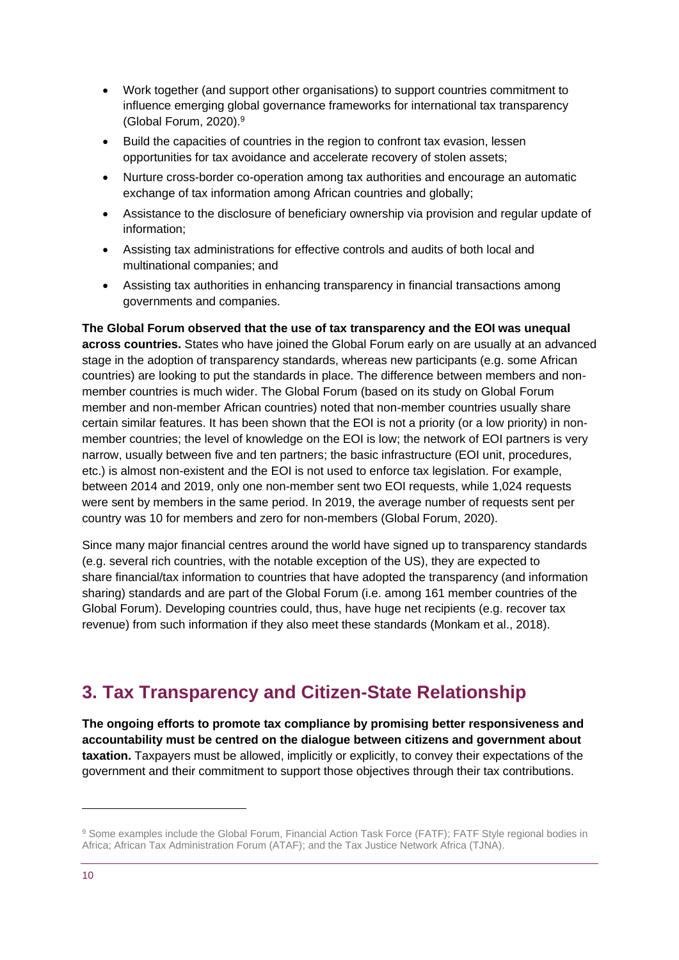- Work together (and support other organisations) to support countries commitment to influence emerging global governance frameworks for international tax transparency (Global Forum, 2020).<sup>9</sup>
- Build the capacities of countries in the region to confront tax evasion, lessen opportunities for tax avoidance and accelerate recovery of stolen assets;
- Nurture cross-border co-operation among tax authorities and encourage an automatic exchange of tax information among African countries and globally;
- Assistance to the disclosure of beneficiary ownership via provision and regular update of information;
- Assisting tax administrations for effective controls and audits of both local and multinational companies; and
- Assisting tax authorities in enhancing transparency in financial transactions among governments and companies.

**The Global Forum observed that the use of tax transparency and the EOI was unequal across countries.** States who have joined the Global Forum early on are usually at an advanced stage in the adoption of transparency standards, whereas new participants (e.g. some African countries) are looking to put the standards in place. The difference between members and nonmember countries is much wider. The Global Forum (based on its study on Global Forum member and non-member African countries) noted that non-member countries usually share certain similar features. It has been shown that the EOI is not a priority (or a low priority) in nonmember countries; the level of knowledge on the EOI is low; the network of EOI partners is very narrow, usually between five and ten partners; the basic infrastructure (EOI unit, procedures, etc.) is almost non-existent and the EOI is not used to enforce tax legislation. For example, between 2014 and 2019, only one non-member sent two EOI requests, while 1,024 requests were sent by members in the same period. In 2019, the average number of requests sent per country was 10 for members and zero for non-members (Global Forum, 2020).

Since many major financial centres around the world have signed up to transparency standards (e.g. several rich countries, with the notable exception of the US), they are expected to share financial/tax information to countries that have adopted the transparency (and information sharing) standards and are part of the Global Forum (i.e. among 161 member countries of the Global Forum). Developing countries could, thus, have huge net recipients (e.g. recover tax revenue) from such information if they also meet these standards (Monkam et al., 2018).

## <span id="page-9-0"></span>**3. Tax Transparency and Citizen-State Relationship**

**The ongoing efforts to promote tax compliance by promising better responsiveness and accountability must be centred on the dialogue between citizens and government about taxation.** Taxpayers must be allowed, implicitly or explicitly, to convey their expectations of the government and their commitment to support those objectives through their tax contributions.

<sup>&</sup>lt;sup>9</sup> Some examples include the Global Forum, Financial Action Task Force (FATF); FATF Style regional bodies in Africa; African Tax Administration Forum (ATAF); and the Tax Justice Network Africa (TJNA).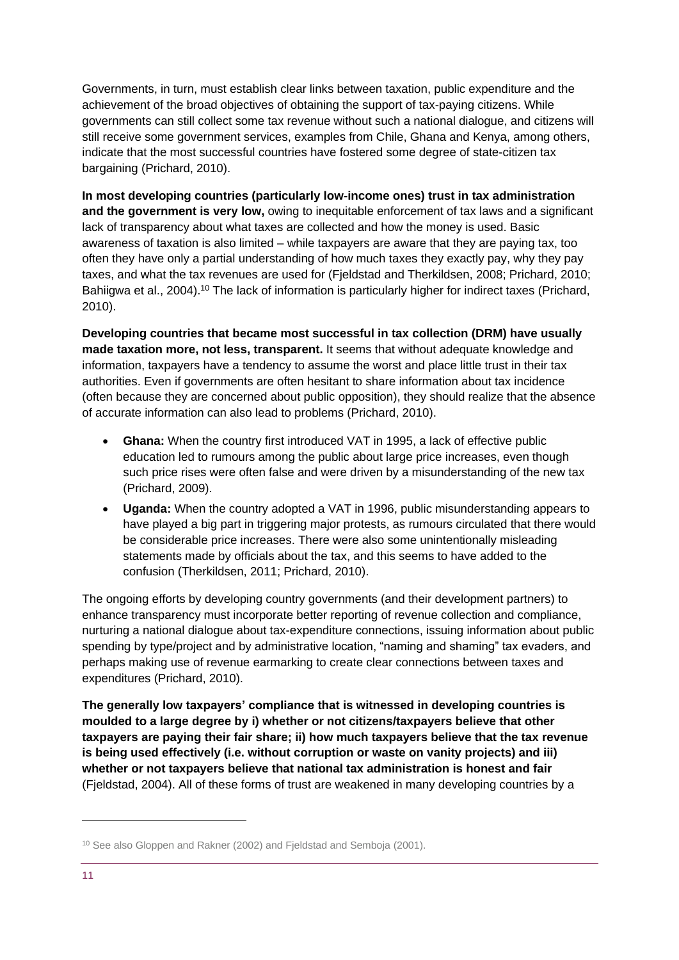Governments, in turn, must establish clear links between taxation, public expenditure and the achievement of the broad objectives of obtaining the support of tax-paying citizens. While governments can still collect some tax revenue without such a national dialogue, and citizens will still receive some government services, examples from Chile, Ghana and Kenya, among others, indicate that the most successful countries have fostered some degree of state-citizen tax bargaining (Prichard, 2010).

**In most developing countries (particularly low-income ones) trust in tax administration and the government is very low,** owing to inequitable enforcement of tax laws and a significant lack of transparency about what taxes are collected and how the money is used. Basic awareness of taxation is also limited – while taxpayers are aware that they are paying tax, too often they have only a partial understanding of how much taxes they exactly pay, why they pay taxes, and what the tax revenues are used for (Fjeldstad and Therkildsen, 2008; Prichard, 2010; Bahiigwa et al., 2004).<sup>10</sup> The lack of information is particularly higher for indirect taxes (Prichard, 2010).

**Developing countries that became most successful in tax collection (DRM) have usually made taxation more, not less, transparent.** It seems that without adequate knowledge and information, taxpayers have a tendency to assume the worst and place little trust in their tax authorities. Even if governments are often hesitant to share information about tax incidence (often because they are concerned about public opposition), they should realize that the absence of accurate information can also lead to problems (Prichard, 2010).

- **Ghana:** When the country first introduced VAT in 1995, a lack of effective public education led to rumours among the public about large price increases, even though such price rises were often false and were driven by a misunderstanding of the new tax (Prichard, 2009).
- **Uganda:** When the country adopted a VAT in 1996, public misunderstanding appears to have played a big part in triggering major protests, as rumours circulated that there would be considerable price increases. There were also some unintentionally misleading statements made by officials about the tax, and this seems to have added to the confusion (Therkildsen, 2011; Prichard, 2010).

The ongoing efforts by developing country governments (and their development partners) to enhance transparency must incorporate better reporting of revenue collection and compliance, nurturing a national dialogue about tax-expenditure connections, issuing information about public spending by type/project and by administrative location, "naming and shaming" tax evaders, and perhaps making use of revenue earmarking to create clear connections between taxes and expenditures (Prichard, 2010).

**The generally low taxpayers' compliance that is witnessed in developing countries is moulded to a large degree by i) whether or not citizens/taxpayers believe that other taxpayers are paying their fair share; ii) how much taxpayers believe that the tax revenue is being used effectively (i.e. without corruption or waste on vanity projects) and iii) whether or not taxpayers believe that national tax administration is honest and fair** (Fjeldstad, 2004). All of these forms of trust are weakened in many developing countries by a

<sup>&</sup>lt;sup>10</sup> See also Gloppen and Rakner (2002) and Fieldstad and Semboia (2001).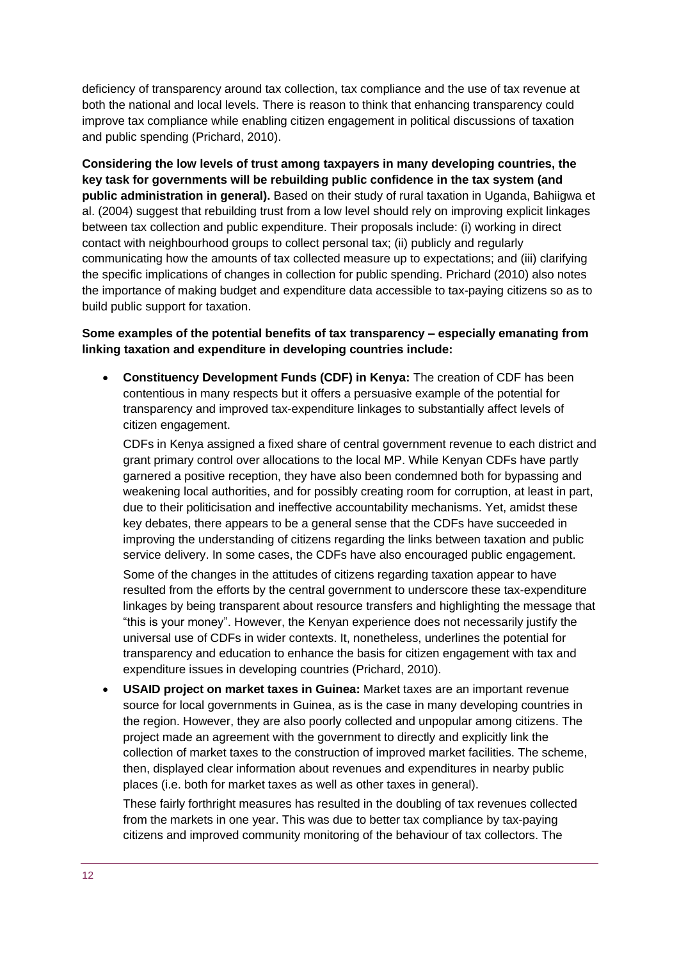deficiency of transparency around tax collection, tax compliance and the use of tax revenue at both the national and local levels. There is reason to think that enhancing transparency could improve tax compliance while enabling citizen engagement in political discussions of taxation and public spending (Prichard, 2010).

**Considering the low levels of trust among taxpayers in many developing countries, the key task for governments will be rebuilding public confidence in the tax system (and public administration in general).** Based on their study of rural taxation in Uganda, Bahiigwa et al. (2004) suggest that rebuilding trust from a low level should rely on improving explicit linkages between tax collection and public expenditure. Their proposals include: (i) working in direct contact with neighbourhood groups to collect personal tax; (ii) publicly and regularly communicating how the amounts of tax collected measure up to expectations; and (iii) clarifying the specific implications of changes in collection for public spending. Prichard (2010) also notes the importance of making budget and expenditure data accessible to tax-paying citizens so as to build public support for taxation.

#### **Some examples of the potential benefits of tax transparency – especially emanating from linking taxation and expenditure in developing countries include:**

• **Constituency Development Funds (CDF) in Kenya:** The creation of CDF has been contentious in many respects but it offers a persuasive example of the potential for transparency and improved tax-expenditure linkages to substantially affect levels of citizen engagement.

CDFs in Kenya assigned a fixed share of central government revenue to each district and grant primary control over allocations to the local MP. While Kenyan CDFs have partly garnered a positive reception, they have also been condemned both for bypassing and weakening local authorities, and for possibly creating room for corruption, at least in part, due to their politicisation and ineffective accountability mechanisms. Yet, amidst these key debates, there appears to be a general sense that the CDFs have succeeded in improving the understanding of citizens regarding the links between taxation and public service delivery. In some cases, the CDFs have also encouraged public engagement.

Some of the changes in the attitudes of citizens regarding taxation appear to have resulted from the efforts by the central government to underscore these tax-expenditure linkages by being transparent about resource transfers and highlighting the message that "this is your money". However, the Kenyan experience does not necessarily justify the universal use of CDFs in wider contexts. It, nonetheless, underlines the potential for transparency and education to enhance the basis for citizen engagement with tax and expenditure issues in developing countries (Prichard, 2010).

• **USAID project on market taxes in Guinea:** Market taxes are an important revenue source for local governments in Guinea, as is the case in many developing countries in the region. However, they are also poorly collected and unpopular among citizens. The project made an agreement with the government to directly and explicitly link the collection of market taxes to the construction of improved market facilities. The scheme, then, displayed clear information about revenues and expenditures in nearby public places (i.e. both for market taxes as well as other taxes in general).

These fairly forthright measures has resulted in the doubling of tax revenues collected from the markets in one year. This was due to better tax compliance by tax-paying citizens and improved community monitoring of the behaviour of tax collectors. The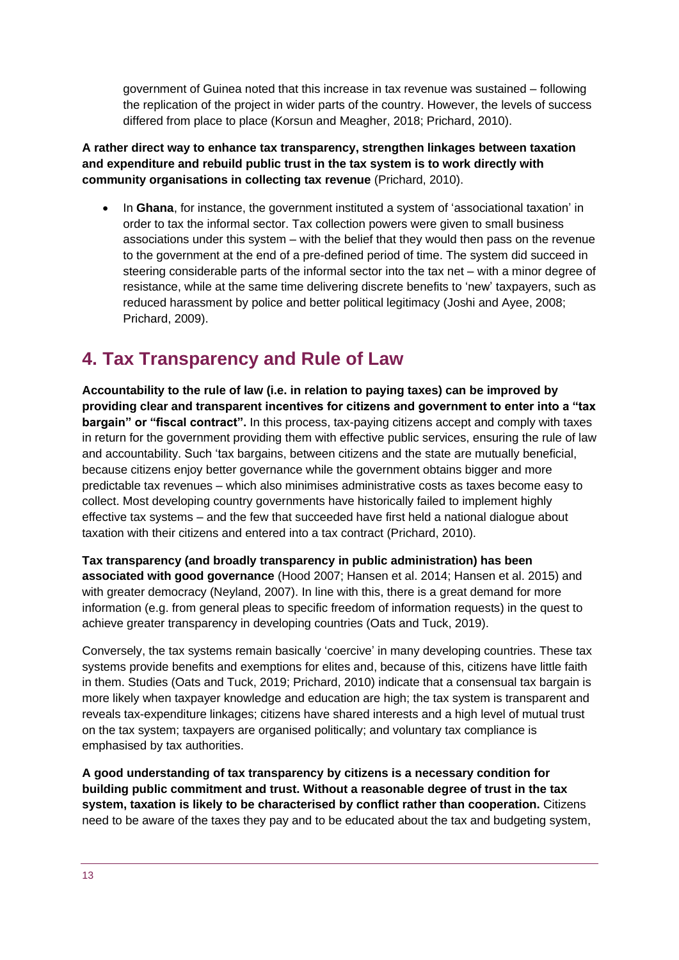government of Guinea noted that this increase in tax revenue was sustained – following the replication of the project in wider parts of the country. However, the levels of success differed from place to place (Korsun and Meagher, 2018; Prichard, 2010).

**A rather direct way to enhance tax transparency, strengthen linkages between taxation and expenditure and rebuild public trust in the tax system is to work directly with community organisations in collecting tax revenue** (Prichard, 2010).

• In **Ghana**, for instance, the government instituted a system of 'associational taxation' in order to tax the informal sector. Tax collection powers were given to small business associations under this system – with the belief that they would then pass on the revenue to the government at the end of a pre-defined period of time. The system did succeed in steering considerable parts of the informal sector into the tax net – with a minor degree of resistance, while at the same time delivering discrete benefits to 'new' taxpayers, such as reduced harassment by police and better political legitimacy (Joshi and Ayee, 2008; Prichard, 2009).

## <span id="page-12-0"></span>**4. Tax Transparency and Rule of Law**

**Accountability to the rule of law (i.e. in relation to paying taxes) can be improved by providing clear and transparent incentives for citizens and government to enter into a "tax bargain" or "fiscal contract".** In this process, tax-paying citizens accept and comply with taxes in return for the government providing them with effective public services, ensuring the rule of law and accountability. Such 'tax bargains, between citizens and the state are mutually beneficial, because citizens enjoy better governance while the government obtains bigger and more predictable tax revenues – which also minimises administrative costs as taxes become easy to collect. Most developing country governments have historically failed to implement highly effective tax systems – and the few that succeeded have first held a national dialogue about taxation with their citizens and entered into a tax contract (Prichard, 2010).

**Tax transparency (and broadly transparency in public administration) has been associated with good governance** (Hood 2007; Hansen et al. 2014; Hansen et al. 2015) and with greater democracy (Neyland, 2007). In line with this, there is a great demand for more information (e.g. from general pleas to specific freedom of information requests) in the quest to achieve greater transparency in developing countries (Oats and Tuck, 2019).

Conversely, the tax systems remain basically 'coercive' in many developing countries. These tax systems provide benefits and exemptions for elites and, because of this, citizens have little faith in them. Studies (Oats and Tuck, 2019; Prichard, 2010) indicate that a consensual tax bargain is more likely when taxpayer knowledge and education are high; the tax system is transparent and reveals tax-expenditure linkages; citizens have shared interests and a high level of mutual trust on the tax system; taxpayers are organised politically; and voluntary tax compliance is emphasised by tax authorities.

**A good understanding of tax transparency by citizens is a necessary condition for building public commitment and trust. Without a reasonable degree of trust in the tax system, taxation is likely to be characterised by conflict rather than cooperation.** Citizens need to be aware of the taxes they pay and to be educated about the tax and budgeting system,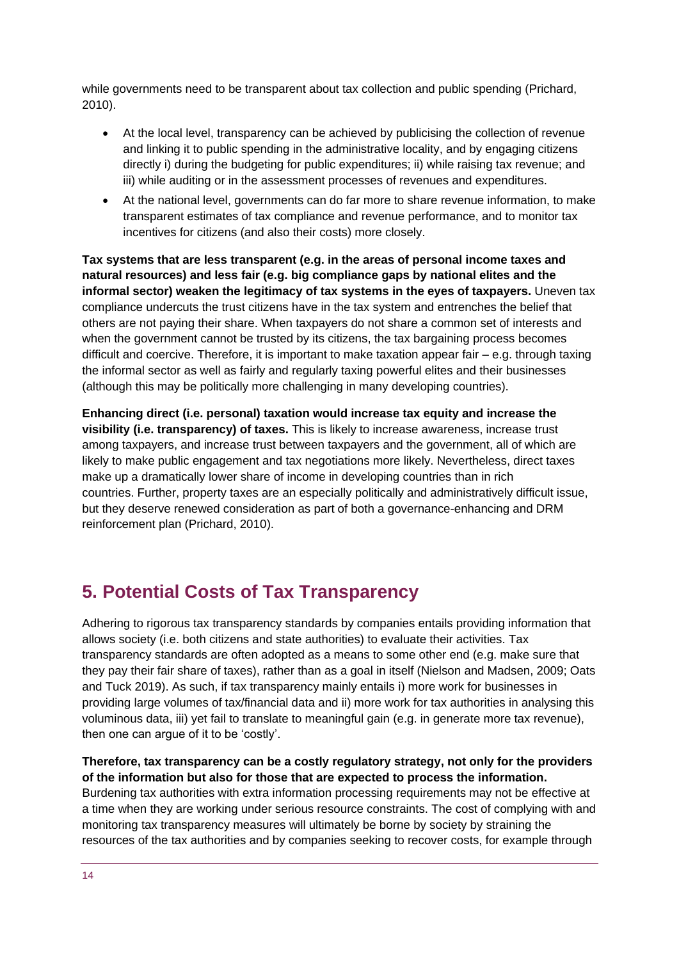while governments need to be transparent about tax collection and public spending (Prichard, 2010).

- At the local level, transparency can be achieved by publicising the collection of revenue and linking it to public spending in the administrative locality, and by engaging citizens directly i) during the budgeting for public expenditures; ii) while raising tax revenue; and iii) while auditing or in the assessment processes of revenues and expenditures.
- At the national level, governments can do far more to share revenue information, to make transparent estimates of tax compliance and revenue performance, and to monitor tax incentives for citizens (and also their costs) more closely.

**Tax systems that are less transparent (e.g. in the areas of personal income taxes and natural resources) and less fair (e.g. big compliance gaps by national elites and the informal sector) weaken the legitimacy of tax systems in the eyes of taxpayers.** Uneven tax compliance undercuts the trust citizens have in the tax system and entrenches the belief that others are not paying their share. When taxpayers do not share a common set of interests and when the government cannot be trusted by its citizens, the tax bargaining process becomes difficult and coercive. Therefore, it is important to make taxation appear fair – e.g. through taxing the informal sector as well as fairly and regularly taxing powerful elites and their businesses (although this may be politically more challenging in many developing countries).

**Enhancing direct (i.e. personal) taxation would increase tax equity and increase the visibility (i.e. transparency) of taxes.** This is likely to increase awareness, increase trust among taxpayers, and increase trust between taxpayers and the government, all of which are likely to make public engagement and tax negotiations more likely. Nevertheless, direct taxes make up a dramatically lower share of income in developing countries than in rich countries. Further, property taxes are an especially politically and administratively difficult issue, but they deserve renewed consideration as part of both a governance-enhancing and DRM reinforcement plan (Prichard, 2010).

## <span id="page-13-0"></span>**5. Potential Costs of Tax Transparency**

Adhering to rigorous tax transparency standards by companies entails providing information that allows society (i.e. both citizens and state authorities) to evaluate their activities. Tax transparency standards are often adopted as a means to some other end (e.g. make sure that they pay their fair share of taxes), rather than as a goal in itself (Nielson and Madsen, 2009; Oats and Tuck 2019). As such, if tax transparency mainly entails i) more work for businesses in providing large volumes of tax/financial data and ii) more work for tax authorities in analysing this voluminous data, iii) yet fail to translate to meaningful gain (e.g. in generate more tax revenue), then one can argue of it to be 'costly'.

**Therefore, tax transparency can be a costly regulatory strategy, not only for the providers of the information but also for those that are expected to process the information.** Burdening tax authorities with extra information processing requirements may not be effective at a time when they are working under serious resource constraints. The cost of complying with and monitoring tax transparency measures will ultimately be borne by society by straining the resources of the tax authorities and by companies seeking to recover costs, for example through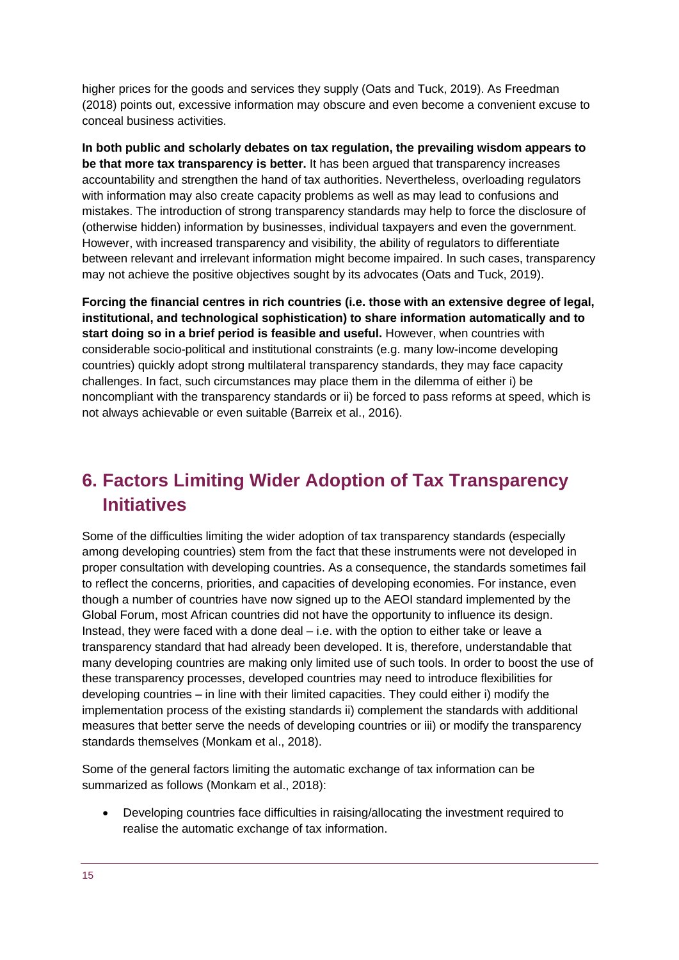higher prices for the goods and services they supply (Oats and Tuck, 2019). As Freedman (2018) points out, excessive information may obscure and even become a convenient excuse to conceal business activities.

**In both public and scholarly debates on tax regulation, the prevailing wisdom appears to be that more tax transparency is better.** It has been argued that transparency increases accountability and strengthen the hand of tax authorities. Nevertheless, overloading regulators with information may also create capacity problems as well as may lead to confusions and mistakes. The introduction of strong transparency standards may help to force the disclosure of (otherwise hidden) information by businesses, individual taxpayers and even the government. However, with increased transparency and visibility, the ability of regulators to differentiate between relevant and irrelevant information might become impaired. In such cases, transparency may not achieve the positive objectives sought by its advocates (Oats and Tuck, 2019).

**Forcing the financial centres in rich countries (i.e. those with an extensive degree of legal, institutional, and technological sophistication) to share information automatically and to start doing so in a brief period is feasible and useful.** However, when countries with considerable socio-political and institutional constraints (e.g. many low-income developing countries) quickly adopt strong multilateral transparency standards, they may face capacity challenges. In fact, such circumstances may place them in the dilemma of either i) be noncompliant with the transparency standards or ii) be forced to pass reforms at speed, which is not always achievable or even suitable (Barreix et al., 2016).

## <span id="page-14-0"></span>**6. Factors Limiting Wider Adoption of Tax Transparency Initiatives**

Some of the difficulties limiting the wider adoption of tax transparency standards (especially among developing countries) stem from the fact that these instruments were not developed in proper consultation with developing countries. As a consequence, the standards sometimes fail to reflect the concerns, priorities, and capacities of developing economies. For instance, even though a number of countries have now signed up to the AEOI standard implemented by the Global Forum, most African countries did not have the opportunity to influence its design. Instead, they were faced with a done deal – i.e. with the option to either take or leave a transparency standard that had already been developed. It is, therefore, understandable that many developing countries are making only limited use of such tools. In order to boost the use of these transparency processes, developed countries may need to introduce flexibilities for developing countries – in line with their limited capacities. They could either i) modify the implementation process of the existing standards ii) complement the standards with additional measures that better serve the needs of developing countries or iii) or modify the transparency standards themselves (Monkam et al., 2018).

Some of the general factors limiting the automatic exchange of tax information can be summarized as follows (Monkam et al., 2018):

• Developing countries face difficulties in raising/allocating the investment required to realise the automatic exchange of tax information.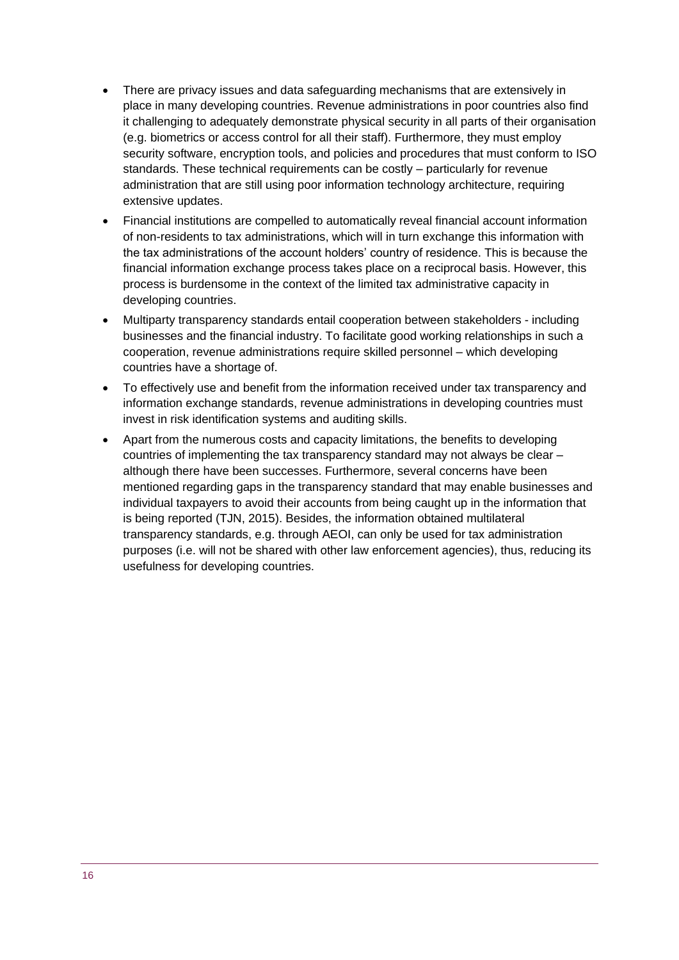- There are privacy issues and data safeguarding mechanisms that are extensively in place in many developing countries. Revenue administrations in poor countries also find it challenging to adequately demonstrate physical security in all parts of their organisation (e.g. biometrics or access control for all their staff). Furthermore, they must employ security software, encryption tools, and policies and procedures that must conform to ISO standards. These technical requirements can be costly – particularly for revenue administration that are still using poor information technology architecture, requiring extensive updates.
- Financial institutions are compelled to automatically reveal financial account information of non-residents to tax administrations, which will in turn exchange this information with the tax administrations of the account holders' country of residence. This is because the financial information exchange process takes place on a reciprocal basis. However, this process is burdensome in the context of the limited tax administrative capacity in developing countries.
- Multiparty transparency standards entail cooperation between stakeholders including businesses and the financial industry. To facilitate good working relationships in such a cooperation, revenue administrations require skilled personnel – which developing countries have a shortage of.
- To effectively use and benefit from the information received under tax transparency and information exchange standards, revenue administrations in developing countries must invest in risk identification systems and auditing skills.
- Apart from the numerous costs and capacity limitations, the benefits to developing countries of implementing the tax transparency standard may not always be clear – although there have been successes. Furthermore, several concerns have been mentioned regarding gaps in the transparency standard that may enable businesses and individual taxpayers to avoid their accounts from being caught up in the information that is being reported (TJN, 2015). Besides, the information obtained multilateral transparency standards, e.g. through AEOI, can only be used for tax administration purposes (i.e. will not be shared with other law enforcement agencies), thus, reducing its usefulness for developing countries.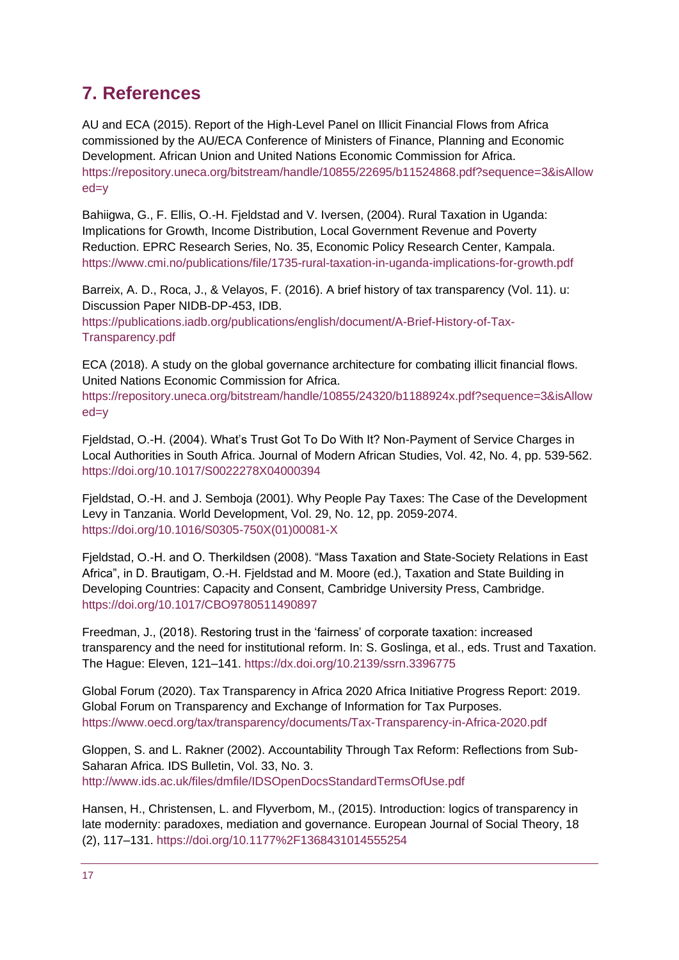## <span id="page-16-0"></span>**7. References**

AU and ECA (2015). Report of the High-Level Panel on Illicit Financial Flows from Africa commissioned by the AU/ECA Conference of Ministers of Finance, Planning and Economic Development. African Union and United Nations Economic Commission for Africa. [https://repository.uneca.org/bitstream/handle/10855/22695/b11524868.pdf?sequence=3&isAllow](https://repository.uneca.org/bitstream/handle/10855/22695/b11524868.pdf?sequence=3&isAllowed=y) [ed=y](https://repository.uneca.org/bitstream/handle/10855/22695/b11524868.pdf?sequence=3&isAllowed=y)

Bahiigwa, G., F. Ellis, O.-H. Fjeldstad and V. Iversen, (2004). Rural Taxation in Uganda: Implications for Growth, Income Distribution, Local Government Revenue and Poverty Reduction. EPRC Research Series, No. 35, Economic Policy Research Center, Kampala. <https://www.cmi.no/publications/file/1735-rural-taxation-in-uganda-implications-for-growth.pdf>

Barreix, A. D., Roca, J., & Velayos, F. (2016). A brief history of tax transparency (Vol. 11). u: Discussion Paper NIDB-DP-453, IDB.

[https://publications.iadb.org/publications/english/document/A-Brief-History-of-Tax-](https://publications.iadb.org/publications/english/document/A-Brief-History-of-Tax-Transparency.pdf)[Transparency.pdf](https://publications.iadb.org/publications/english/document/A-Brief-History-of-Tax-Transparency.pdf)

ECA (2018). A study on the global governance architecture for combating illicit financial flows. United Nations Economic Commission for Africa.

[https://repository.uneca.org/bitstream/handle/10855/24320/b1188924x.pdf?sequence=3&isAllow](https://repository.uneca.org/bitstream/handle/10855/24320/b1188924x.pdf?sequence=3&isAllowed=y) [ed=y](https://repository.uneca.org/bitstream/handle/10855/24320/b1188924x.pdf?sequence=3&isAllowed=y)

Fjeldstad, O.-H. (2004). What's Trust Got To Do With It? Non-Payment of Service Charges in Local Authorities in South Africa. Journal of Modern African Studies, Vol. 42, No. 4, pp. 539-562. <https://doi.org/10.1017/S0022278X04000394>

Fjeldstad, O.-H. and J. Semboja (2001). Why People Pay Taxes: The Case of the Development Levy in Tanzania. World Development, Vol. 29, No. 12, pp. 2059-2074. [https://doi.org/10.1016/S0305-750X\(01\)00081-X](https://doi.org/10.1016/S0305-750X(01)00081-X)

Fjeldstad, O.-H. and O. Therkildsen (2008). "Mass Taxation and State-Society Relations in East Africa", in D. Brautigam, O.-H. Fjeldstad and M. Moore (ed.), Taxation and State Building in Developing Countries: Capacity and Consent, Cambridge University Press, Cambridge. <https://doi.org/10.1017/CBO9780511490897>

Freedman, J., (2018). Restoring trust in the 'fairness' of corporate taxation: increased transparency and the need for institutional reform. In: S. Goslinga, et al., eds. Trust and Taxation. The Hague: Eleven, 121–141.<https://dx.doi.org/10.2139/ssrn.3396775>

Global Forum (2020). Tax Transparency in Africa 2020 Africa Initiative Progress Report: 2019. Global Forum on Transparency and Exchange of Information for Tax Purposes. <https://www.oecd.org/tax/transparency/documents/Tax-Transparency-in-Africa-2020.pdf>

Gloppen, S. and L. Rakner (2002). Accountability Through Tax Reform: Reflections from Sub-Saharan Africa. IDS Bulletin, Vol. 33, No. 3. <http://www.ids.ac.uk/files/dmfile/IDSOpenDocsStandardTermsOfUse.pdf>

Hansen, H., Christensen, L. and Flyverbom, M., (2015). Introduction: logics of transparency in late modernity: paradoxes, mediation and governance. European Journal of Social Theory, 18 (2), 117–131.<https://doi.org/10.1177%2F1368431014555254>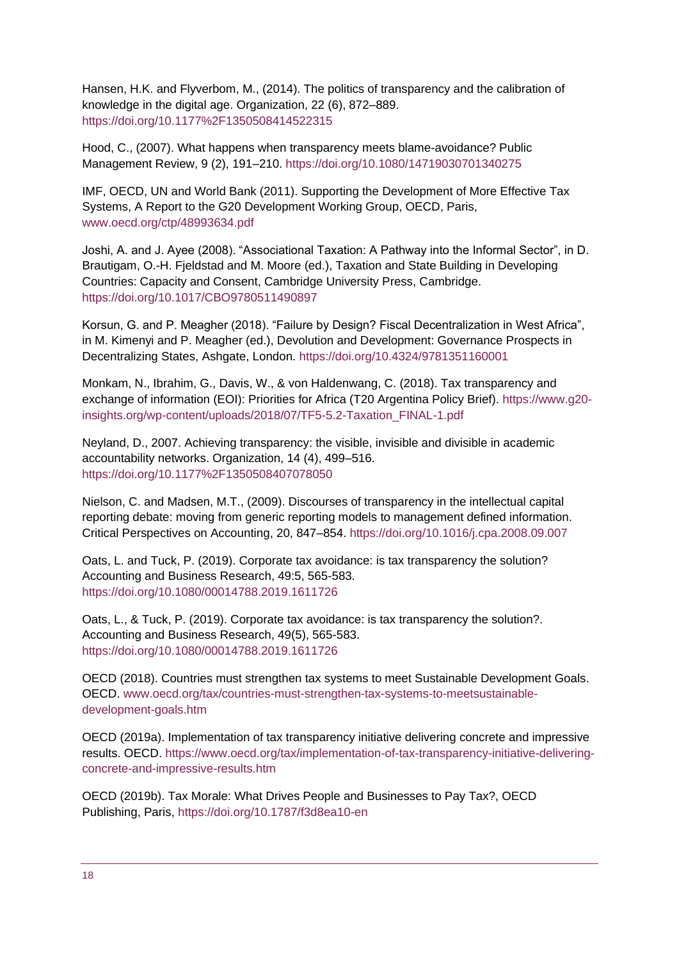Hansen, H.K. and Flyverbom, M., (2014). The politics of transparency and the calibration of knowledge in the digital age. Organization, 22 (6), 872–889. <https://doi.org/10.1177%2F1350508414522315>

Hood, C., (2007). What happens when transparency meets blame-avoidance? Public Management Review, 9 (2), 191–210.<https://doi.org/10.1080/14719030701340275>

IMF, OECD, UN and World Bank (2011). Supporting the Development of More Effective Tax Systems, A Report to the G20 Development Working Group, OECD, Paris, [www.oecd.org/ctp/48993634.pdf](http://www.oecd.org/ctp/48993634.pdf)

Joshi, A. and J. Ayee (2008). "Associational Taxation: A Pathway into the Informal Sector", in D. Brautigam, O.-H. Fjeldstad and M. Moore (ed.), Taxation and State Building in Developing Countries: Capacity and Consent, Cambridge University Press, Cambridge. <https://doi.org/10.1017/CBO9780511490897>

Korsun, G. and P. Meagher (2018). "Failure by Design? Fiscal Decentralization in West Africa", in M. Kimenyi and P. Meagher (ed.), Devolution and Development: Governance Prospects in Decentralizing States, Ashgate, London.<https://doi.org/10.4324/9781351160001>

Monkam, N., Ibrahim, G., Davis, W., & von Haldenwang, C. (2018). Tax transparency and exchange of information (EOI): Priorities for Africa (T20 Argentina Policy Brief). [https://www.g20](https://www.g20-insights.org/wp-content/uploads/2018/07/TF5-5.2-Taxation_FINAL-1.pdf) [insights.org/wp-content/uploads/2018/07/TF5-5.2-Taxation\\_FINAL-1.pdf](https://www.g20-insights.org/wp-content/uploads/2018/07/TF5-5.2-Taxation_FINAL-1.pdf)

Neyland, D., 2007. Achieving transparency: the visible, invisible and divisible in academic accountability networks. Organization, 14 (4), 499–516. <https://doi.org/10.1177%2F1350508407078050>

Nielson, C. and Madsen, M.T., (2009). Discourses of transparency in the intellectual capital reporting debate: moving from generic reporting models to management defined information. Critical Perspectives on Accounting, 20, 847–854.<https://doi.org/10.1016/j.cpa.2008.09.007>

Oats, L. and Tuck, P. (2019). Corporate tax avoidance: is tax transparency the solution? Accounting and Business Research, 49:5, 565-583. <https://doi.org/10.1080/00014788.2019.1611726>

Oats, L., & Tuck, P. (2019). Corporate tax avoidance: is tax transparency the solution?. Accounting and Business Research, 49(5), 565-583. <https://doi.org/10.1080/00014788.2019.1611726>

OECD (2018). Countries must strengthen tax systems to meet Sustainable Development Goals. OECD. [www.oecd.org/tax/countries-must-strengthen-tax-systems-to-meetsustainable](http://www.oecd.org/tax/countries-must-strengthen-tax-systems-to-meetsustainable-development-goals.htm)[development-goals.htm](http://www.oecd.org/tax/countries-must-strengthen-tax-systems-to-meetsustainable-development-goals.htm)

OECD (2019a). Implementation of tax transparency initiative delivering concrete and impressive results. OECD. [https://www.oecd.org/tax/implementation-of-tax-transparency-initiative-delivering](https://www.oecd.org/tax/implementation-of-tax-transparency-initiative-delivering-concrete-and-impressive-results.htm)[concrete-and-impressive-results.htm](https://www.oecd.org/tax/implementation-of-tax-transparency-initiative-delivering-concrete-and-impressive-results.htm)

OECD (2019b). Tax Morale: What Drives People and Businesses to Pay Tax?, OECD Publishing, Paris,<https://doi.org/10.1787/f3d8ea10-en>